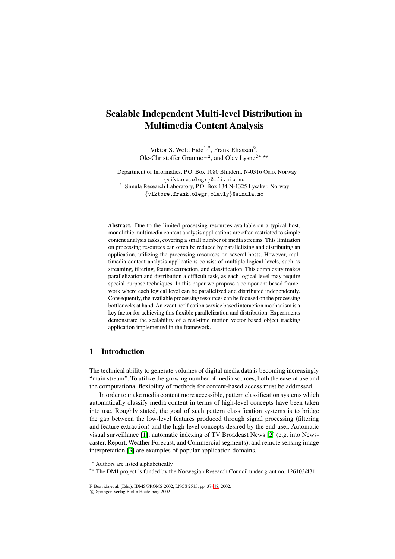# **Scalable Independent Multi-level Distribution in Multimedia Content Analysis**

Viktor S. Wold Eide<sup>1,2</sup>, Frank Eliassen<sup>2</sup>, Ole-Christoffer Granmo<sup>1,2</sup>, and Olav Lysne<sup>2\*\*\*</sup>

<sup>1</sup> Department of Informatics, P.O. Box 1080 Blindern, N-0316 Oslo, Norway {viktore,olegr}@ifi.uio.no <sup>2</sup> Simula Research Laboratory, P.O. Box 134 N-1325 Lysaker, Norway

{viktore,frank,olegr,olavly}@simula.no

**Abstract.** Due to the limited processing resources available on a typical host, monolithic multimedia content analysis applications are often restricted to simple content analysis tasks, covering a small number of media streams. This limitation on processing resources can often be reduced by parallelizing and distributing an application, utilizing the processing resources on several hosts. However, multimedia content analysis applications consist of multiple logical levels, such as streaming, filtering, feature extraction, and classification. This complexity makes parallelization and distribution a difficult task, as each logical level may require special purpose techniques. In this paper we propose a component-based framework where each logical level can be parallelized and distributed independently. Consequently, the available processing resources can be focused on the processing bottlenecks at hand.An event notification service based interaction mechanism is a key factor for achieving this flexible parallelization and distribution. Experiments demonstrate the scalability of a real-time motion vector based object tracking application implemented in the framework.

# **1 Introduction**

The technical ability to generate volumes of digital media data is becoming increasingly "main stream". To utilize the growing number of media sources, both the ease of use and the computational flexibility of methods for content-based access must be addressed.

In order to make media content more accessible, pattern classification systems which automatically classify media content in terms of high-level concepts have been taken into use. Roughly stated, the goal of such pattern classification systems is to bridge the gap between the low-level features produced through signal processing (filtering and feature extraction) and the high-level concepts desired by the end-user. Automatic visual surveillance [\[1\]](#page-10-0), automatic indexing of TV Broadcast News [\[2\]](#page-10-0) (e.g. into Newscaster, Report, Weather Forecast, and Commercial segments), and remote sensing image interpretation [\[3\]](#page-11-0) are examples of popular application domains.

Authors are listed alphabetically

<sup>\*\*</sup> The DMJ project is funded by the Norwegian Research Council under grant no. 126103/431

c Springer-Verlag Berlin Heidelberg 2002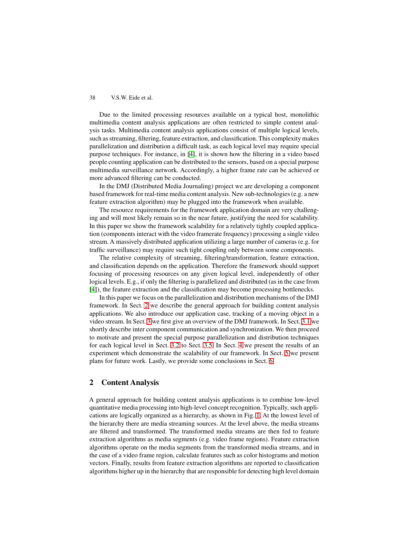<span id="page-1-0"></span>Due to the limited processing resources available on a typical host, monolithic multimedia content analysis applications are often restricted to simple content analysis tasks. Multimedia content analysis applications consist of multiple logical levels, such as streaming, filtering, feature extraction, and classification. This complexity makes parallelization and distribution a difficult task, as each logical level may require special purpose techniques. For instance, in [\[4\]](#page-11-0), it is shown how the filtering in a video based people counting application can be distributed to the sensors, based on a special purpose multimedia surveillance network. Accordingly, a higher frame rate can be achieved or more advanced filtering can be conducted.

In the DMJ (Distributed Media Journaling) project we are developing a component based framework for real-time media content analysis. New sub-technologies (e.g. a new feature extraction algorithm) may be plugged into the framework when available.

The resource requirements for the framework application domain are very challenging and will most likely remain so in the near future, justifying the need for scalability. In this paper we show the framework scalability for a relatively tightly coupled application (components interact with the video framerate frequency) processing a single video stream. A massively distributed application utilizing a large number of cameras (e.g. for traffic surveillance) may require such tight coupling only between some components.

The relative complexity of streaming, filtering/transformation, feature extraction, and classification depends on the application. Therefore the framework should support focusing of processing resources on any given logical level, independently of other logical levels. E.g., if only the filtering is parallelized and distributed (as in the case from [\[4\]](#page-11-0)), the feature extraction and the classification may become processing bottlenecks.

In this paper we focus on the parallelization and distribution mechanisms of the DMJ framework. In Sect. 2 we describe the general approach for building content analysis applications. We also introduce our application case, tracking of a moving object in a video stream. In Sect. [3](#page-2-0) we first give an overview of the DMJ framework. In Sect. [3.1](#page-3-0) we shortly describe inter component communication and synchronization. We then proceed to motivate and present the special purpose parallelization and distribution techniques for each logical level in Sect. [3.2](#page-3-0) to Sect. [3.5.](#page-5-0) In Sect. [4](#page-8-0) we present the results of an experiment which demonstrate the scalability of our framework. In Sect. [5](#page-9-0) we present plans for future work. Lastly, we provide some conclusions in Sect. [6.](#page-10-0)

# **2 Content Analysis**

A general approach for building content analysis applications is to combine low-level quantitative media processing into high-level concept recognition. Typically, such applications are logically organized as a hierarchy, as shown in Fig. [1.](#page-2-0) At the lowest level of the hierarchy there are media streaming sources. At the level above, the media streams are filtered and transformed. The transformed media streams are then fed to feature extraction algorithms as media segments (e.g. video frame regions). Feature extraction algorithms operate on the media segments from the transformed media streams, and in the case of a video frame region, calculate features such as color histograms and motion vectors. Finally, results from feature extraction algorithms are reported to classification algorithms higher up in the hierarchy that are responsible for detecting high level domain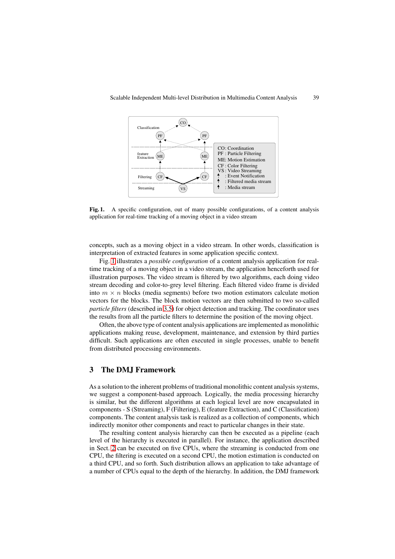<span id="page-2-0"></span>

**Fig. 1.** A specific configuration, out of many possible configurations, of a content analysis application for real-time tracking of a moving object in a video stream

concepts, such as a moving object in a video stream. In other words, classification is interpretation of extracted features in some application specific context.

Fig. 1 illustrates a *possible configuration* of a content analysis application for realtime tracking of a moving object in a video stream, the application henceforth used for illustration purposes. The video stream is filtered by two algorithms, each doing video stream decoding and color-to-grey level filtering. Each filtered video frame is divided into  $m \times n$  blocks (media segments) before two motion estimators calculate motion vectors for the blocks. The block motion vectors are then submitted to two so-called *particle filters* (described in [3.5\)](#page-5-0) for object detection and tracking. The coordinator uses the results from all the particle filters to determine the position of the moving object.

Often, the above type of content analysis applications are implemented as monolithic applications making reuse, development, maintenance, and extension by third parties difficult. Such applications are often executed in single processes, unable to benefit from distributed processing environments.

### **3 The DMJ Framework**

As a solution to the inherent problems of traditional monolithic content analysis systems, we suggest a component-based approach. Logically, the media processing hierarchy is similar, but the different algorithms at each logical level are now encapsulated in components - S (Streaming), F (Filtering), E (feature Extraction), and C (Classification) components. The content analysis task is realized as a collection of components, which indirectly monitor other components and react to particular changes in their state.

The resulting content analysis hierarchy can then be executed as a pipeline (each level of the hierarchy is executed in parallel). For instance, the application described in Sect. [2](#page-1-0) can be executed on five CPUs, where the streaming is conducted from one CPU, the filtering is executed on a second CPU, the motion estimation is conducted on a third CPU, and so forth. Such distribution allows an application to take advantage of a number of CPUs equal to the depth of the hierarchy. In addition, the DMJ framework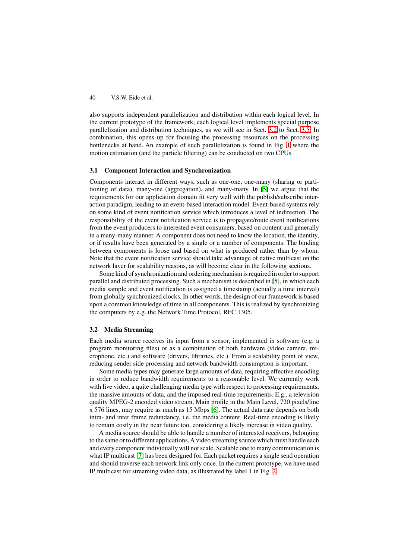<span id="page-3-0"></span>also supports independent parallelization and distribution within each logical level. In the current prototype of the framework, each logical level implements special purpose parallelization and distribution techniques, as we will see in Sect. 3.2 to Sect. [3.5.](#page-5-0) In combination, this opens up for focusing the processing resources on the processing bottlenecks at hand. An example of such parallelization is found in Fig. [1](#page-2-0) where the motion estimation (and the particle filtering) can be conducted on two CPUs.

# **3.1 Component Interaction and Synchronization**

Components interact in different ways, such as one-one, one-many (sharing or partitioning of data), many-one (aggregation), and many-many. In [\[5\]](#page-11-0) we argue that the requirements for our application domain fit very well with the publish/subscribe interaction paradigm, leading to an event-based interaction model. Event-based systems rely on some kind of event notification service which introduces a level of indirection. The responsibility of the event notification service is to propagate/route event notifications from the event producers to interested event consumers, based on content and generally in a many-many manner. A component does not need to know the location, the identity, or if results have been generated by a single or a number of components. The binding between components is loose and based on what is produced rather than by whom. Note that the event notification service should take advantage of native multicast on the network layer for scalability reasons, as will become clear in the following sections.

Some kind of synchronization and ordering mechanism is required in order to support parallel and distributed processing. Such a mechanism is described in [\[5\]](#page-11-0), in which each media sample and event notification is assigned a timestamp (actually a time interval) from globally synchronized clocks. In other words, the design of our framework is based upon a common knowledge of time in all components. This is realized by synchronizing the computers by e.g. the Network Time Protocol, RFC 1305.

# **3.2 Media Streaming**

Each media source receives its input from a sensor, implemented in software (e.g. a program monitoring files) or as a combination of both hardware (video camera, microphone, etc.) and software (drivers, libraries, etc.). From a scalability point of view, reducing sender side processing and network bandwidth consumption is important.

Some media types may generate large amounts of data, requiring effective encoding in order to reduce bandwidth requirements to a reasonable level. We currently work with live video, a quite challenging media type with respect to processing requirements, the massive amounts of data, and the imposed real-time requirements. E.g., a television quality MPEG-2 encoded video stream, Main profile in the Main Level, 720 pixels/line x 576 lines, may require as much as 15 Mbps [\[6\]](#page-11-0). The actual data rate depends on both intra- and inter frame redundancy, i.e. the media content. Real-time encoding is likely to remain costly in the near future too, considering a likely increase in video quality.

A media source should be able to handle a number of interested receivers, belonging to the same or to different applications.A video streaming source which must handle each and every component individually will not scale. Scalable one to many communication is what IP multicast [\[7\]](#page-11-0) has been designed for. Each packet requires a single send operation and should traverse each network link only once. In the current prototype, we have used IP multicast for streaming video data, as illustrated by label 1 in Fig. [2.](#page-4-0)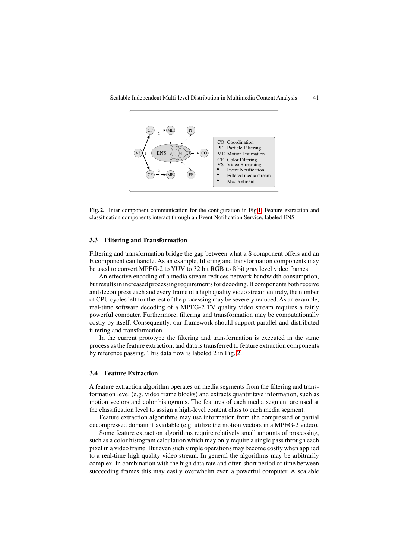<span id="page-4-0"></span>

**Fig. 2.** Inter component communication for the configuration in Fig[.1.](#page-2-0) Feature extraction and classification components interact through an Event Notification Service, labeled ENS

#### **3.3 Filtering and Transformation**

Filtering and transformation bridge the gap between what a S component offers and an E component can handle. As an example, filtering and transformation components may be used to convert MPEG-2 to YUV to 32 bit RGB to 8 bit gray level video frames.

An effective encoding of a media stream reduces network bandwidth consumption, but results in increased processing requirements for decoding. If components both receive and decompress each and every frame of a high quality video stream entirely, the number of CPU cycles left for the rest of the processing may be severely reduced. As an example, real-time software decoding of a MPEG-2 TV quality video stream requires a fairly powerful computer. Furthermore, filtering and transformation may be computationally costly by itself. Consequently, our framework should support parallel and distributed filtering and transformation.

In the current prototype the filtering and transformation is executed in the same process as the feature extraction, and data is transferred to feature extraction components by reference passing. This data flow is labeled 2 in Fig. 2.

#### **3.4 Feature Extraction**

A feature extraction algorithm operates on media segments from the filtering and transformation level (e.g. video frame blocks) and extracts quantititave information, such as motion vectors and color histograms. The features of each media segment are used at the classification level to assign a high-level content class to each media segment.

Feature extraction algorithms may use information from the compressed or partial decompressed domain if available (e.g. utilize the motion vectors in a MPEG-2 video).

Some feature extraction algorithms require relatively small amounts of processing, such as a color histogram calculation which may only require a single pass through each pixel in a video frame. But even such simple operations may become costly when applied to a real-time high quality video stream. In general the algorithms may be arbitrarily complex. In combination with the high data rate and often short period of time between succeeding frames this may easily overwhelm even a powerful computer. A scalable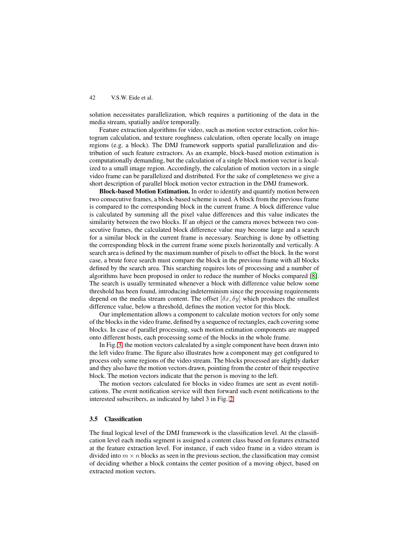<span id="page-5-0"></span>solution necessitates parallelization, which requires a partitioning of the data in the media stream, spatially and/or temporally.

Feature extraction algorithms for video, such as motion vector extraction, color histogram calculation, and texture roughness calculation, often operate locally on image regions (e.g. a block). The DMJ framework supports spatial parallelization and distribution of such feature extractors. As an example, block-based motion estimation is computationally demanding, but the calculation of a single block motion vector is localized to a small image region. Accordingly, the calculation of motion vectors in a single video frame can be parallelized and distributed. For the sake of completeness we give a short description of parallel block motion vector extraction in the DMJ framework.

**Block-based Motion Estimation.** In order to identify and quantify motion between two consecutive frames, a block-based scheme is used. A block from the previous frame is compared to the corresponding block in the current frame. A block difference value is calculated by summing all the pixel value differences and this value indicates the similarity between the two blocks. If an object or the camera moves between two consecutive frames, the calculated block difference value may become large and a search for a similar block in the current frame is necessary. Searching is done by offsetting the corresponding block in the current frame some pixels horizontally and vertically. A search area is defined by the maximum number of pixels to offset the block. In the worst case, a brute force search must compare the block in the previous frame with all blocks defined by the search area. This searching requires lots of processing and a number of algorithms have been proposed in order to reduce the number of blocks compared [\[8\]](#page-11-0). The search is usually terminated whenever a block with difference value below some threshold has been found, introducing indeterminism since the processing requirements depend on the media stream content. The offset  $[\delta x, \delta y]$  which produces the smallest difference value, below a threshold, defines the motion vector for this block.

Our implementation allows a component to calculate motion vectors for only some of the blocks in the video frame, defined by a sequence of rectangles, each covering some blocks. In case of parallel processing, such motion estimation components are mapped onto different hosts, each processing some of the blocks in the whole frame.

In Fig. [3,](#page-6-0) the motion vectors calculated by a single component have been drawn into the left video frame. The figure also illustrates how a component may get configured to process only some regions of the video stream. The blocks processed are slightly darker and they also have the motion vectors drawn, pointing from the center of their respective block. The motion vectors indicate that the person is moving to the left.

The motion vectors calculated for blocks in video frames are sent as event notifications. The event notification service will then forward such event notifications to the interested subscribers, as indicated by label 3 in Fig. [2.](#page-4-0)

# **3.5 Classification**

The final logical level of the DMJ framework is the classification level. At the classification level each media segment is assigned a content class based on features extracted at the feature extraction level. For instance, if each video frame in a video stream is divided into  $m \times n$  blocks as seen in the previous section, the classification may consist of deciding whether a block contains the center position of a moving object, based on extracted motion vectors.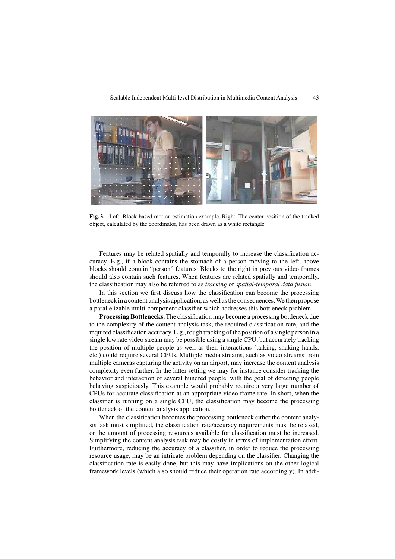<span id="page-6-0"></span>

**Fig. 3.** Left: Block-based motion estimation example. Right: The center position of the tracked object, calculated by the coordinator, has been drawn as a white rectangle

Features may be related spatially and temporally to increase the classification accuracy. E.g., if a block contains the stomach of a person moving to the left, above blocks should contain "person" features. Blocks to the right in previous video frames should also contain such features. When features are related spatially and temporally, the classification may also be referred to as *tracking* or *spatial-temporal data fusion*.

In this section we first discuss how the classification can become the processing bottleneck in a content analysis application, as well as the consequences.We then propose a parallelizable multi-component classifier which addresses this bottleneck problem.

**Processing Bottlenecks.** The classification may become a processing bottleneck due to the complexity of the content analysis task, the required classification rate, and the required classification accuracy. E.g., rough tracking of the position of a single person in a single low rate video stream may be possible using a single CPU, but accurately tracking the position of multiple people as well as their interactions (talking, shaking hands, etc.) could require several CPUs. Multiple media streams, such as video streams from multiple cameras capturing the activity on an airport, may increase the content analysis complexity even further. In the latter setting we may for instance consider tracking the behavior and interaction of several hundred people, with the goal of detecting people behaving suspiciously. This example would probably require a very large number of CPUs for accurate classification at an appropriate video frame rate. In short, when the classifier is running on a single CPU, the classification may become the processing bottleneck of the content analysis application.

When the classification becomes the processing bottleneck either the content analysis task must simplified, the classification rate/accuracy requirements must be relaxed, or the amount of processing resources available for classification must be increased. Simplifying the content analysis task may be costly in terms of implementation effort. Furthermore, reducing the accuracy of a classifier, in order to reduce the processing resource usage, may be an intricate problem depending on the classifier. Changing the classification rate is easily done, but this may have implications on the other logical framework levels (which also should reduce their operation rate accordingly). In addi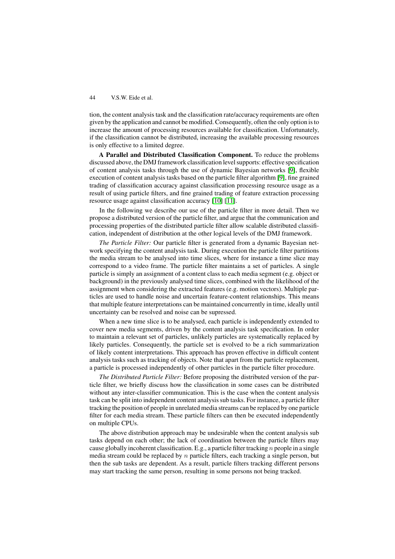tion, the content analysis task and the classification rate/accuracy requirements are often given by the application and cannot be modified. Consequently, often the only option is to increase the amount of processing resources available for classification. Unfortunately, if the classification cannot be distributed, increasing the available processing resources is only effective to a limited degree.

**A Parallel and Distributed Classification Component.** To reduce the problems discussed above, the DMJ framework classification level supports: effective specification of content analysis tasks through the use of dynamic Bayesian networks [\[9\]](#page-11-0), flexible execution of content analysis tasks based on the particle filter algorithm [\[9\]](#page-11-0), fine grained trading of classification accuracy against classification processing resource usage as a result of using particle filters, and fine grained trading of feature extraction processing resource usage against classification accuracy [\[10\]](#page-11-0) [\[11\]](#page-11-0).

In the following we describe our use of the particle filter in more detail. Then we propose a distributed version of the particle filter, and argue that the communication and processing properties of the distributed particle filter allow scalable distributed classification, independent of distribution at the other logical levels of the DMJ framework.

*The Particle Filter:* Our particle filter is generated from a dynamic Bayesian network specifying the content analysis task. During execution the particle filter partitions the media stream to be analysed into time slices, where for instance a time slice may correspond to a video frame. The particle filter maintains a set of particles. A single particle is simply an assignment of a content class to each media segment (e.g. object or background) in the previously analysed time slices, combined with the likelihood of the assignment when considering the extracted features (e.g. motion vectors). Multiple particles are used to handle noise and uncertain feature-content relationships. This means that multiple feature interpretations can be maintained concurrently in time, ideally until uncertainty can be resolved and noise can be supressed.

When a new time slice is to be analysed, each particle is independently extended to cover new media segments, driven by the content analysis task specification. In order to maintain a relevant set of particles, unlikely particles are systematically replaced by likely particles. Consequently, the particle set is evolved to be a rich summarization of likely content interpretations. This approach has proven effective in difficult content analysis tasks such as tracking of objects. Note that apart from the particle replacement, a particle is processed independently of other particles in the particle filter procedure.

*The Distributed Particle Filter:* Before proposing the distributed version of the particle filter, we briefly discuss how the classification in some cases can be distributed without any inter-classifier communication. This is the case when the content analysis task can be split into independent content analysis sub tasks. For instance, a particle filter tracking the position of people in unrelated media streams can be replaced by one particle filter for each media stream. These particle filters can then be executed independently on multiple CPUs.

The above distribution approach may be undesirable when the content analysis sub tasks depend on each other; the lack of coordination between the particle filters may cause globally incoherent classification. E.g., a particle filter tracking  $n$  people in a single media stream could be replaced by  $n$  particle filters, each tracking a single person, but then the sub tasks are dependent. As a result, particle filters tracking different persons may start tracking the same person, resulting in some persons not being tracked.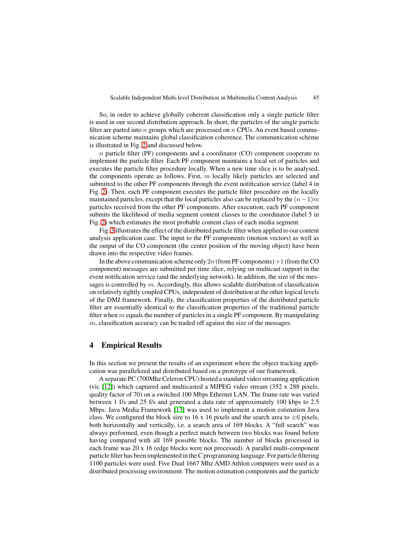<span id="page-8-0"></span>So, in order to achieve globally coherent classification only a single particle filter is used in our second distribution approach. In short, the particles of the single particle filter are parted into  $n$  groups which are processed on  $n$  CPUs. An event based communication scheme maintains global classification coherence. The communication scheme is illustrated in Fig. [2](#page-4-0) and discussed below.

 $n$  particle filter (PF) components and a coordinator (CO) component cooperate to implement the particle filter. Each PF component maintains a local set of particles and executes the particle filter procedure locally. When a new time slice is to be analysed, the components operate as follows. First,  $m$  locally likely particles are selected and submitted to the other PF components through the event notification service (label 4 in Fig. [2\)](#page-4-0). Then, each PF component executes the particle filter procedure on the locally maintained particles, except that the local particles also can be replaced by the  $(n-1)m$ particles received from the other PF components. After execution, each PF component submits the likelihood of media segment content classes to the coordinator (label 5 in Fig. [2\)](#page-4-0) which estimates the most probable content class of each media segment.

Fig. [3](#page-6-0) illustrates the effect of the distributed particle filter when applied to our content analysis application case. The input to the PF components (motion vectors) as well as the output of the CO component (the center position of the moving object) have been drawn into the respective video frames.

In the above communication scheme only  $2n$  (from PF components)  $+1$  (from the CO component) messages are submitted per time slice, relying on multicast support in the event notification service (and the underlying network). In addition, the size of the messages is controlled by  $m$ . Accordingly, this allows scalable distribution of classification on relatively tightly coupled CPUs, independent of distribution at the other logical levels of the DMJ framework. Finally, the classification properties of the distributed particle filter are essentially identical to the classification properties of the traditional particle filter when  $m$  equals the number of particles in a single PF component. By manipulating m, classification accuracy can be traded off against the size of the messages.

### **4 Empirical Results**

In this section we present the results of an experiment where the object tracking application was parallelized and distributed based on a prototype of our framework.

A separate PC (700Mhz Celeron CPU) hosted a standard video streaming application (vic [\[12\]](#page-11-0)) which captured and multicasted a MJPEG video stream (352 x 288 pixels, quality factor of 70) on a switched 100 Mbps Ethernet LAN. The frame rate was varied between 1 f/s and 25 f/s and generated a data rate of approximately 100 kbps to 2.5 Mbps. Java Media Framework [\[13\]](#page-11-0) was used to implement a motion estimation Java class. We configured the block size to 16 x 16 pixels and the search area to  $\pm 6$  pixels, both horizontally and vertically, i.e. a search area of 169 blocks. A "full search" was always performed, even though a perfect match between two blocks was found before having compared with all 169 possible blocks. The number of blocks processed in each frame was 20 x 16 (edge blocks were not processed). A parallel multi-component particle filter has been implemented in the C programming language. For particle filtering 1100 particles were used. Five Dual 1667 Mhz AMD Athlon computers were used as a distributed processing environment. The motion estimation components and the particle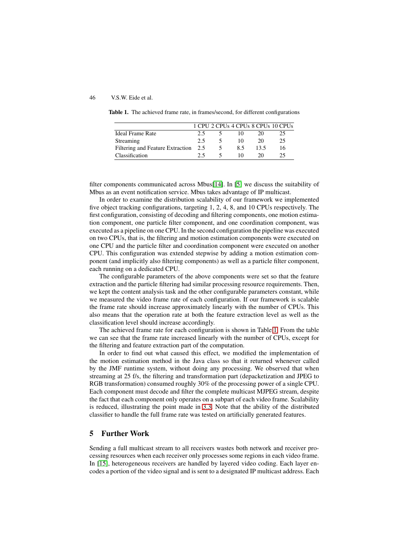|                                      |     |     |      | 1 CPU 2 CPUs 4 CPUs 8 CPUs 10 CPUs |
|--------------------------------------|-----|-----|------|------------------------------------|
| <b>Ideal Frame Rate</b>              | 2.5 | 10  | 20   | 25                                 |
| Streaming                            | 2.5 | 10  | 20   | 25                                 |
| Filtering and Feature Extraction 2.5 |     | 8.5 | 13.5 | 16                                 |
| Classification                       | 2.5 | 10  | 20   | 25                                 |

<span id="page-9-0"></span>**Table 1.** The achieved frame rate, in frames/second, for different configurations

filter components communicated across Mbus[\[14\]](#page-11-0). In [\[5\]](#page-11-0) we discuss the suitability of Mbus as an event notification service. Mbus takes advantage of IP multicast.

In order to examine the distribution scalability of our framework we implemented five object tracking configurations, targeting 1, 2, 4, 8, and 10 CPUs respectively. The first configuration, consisting of decoding and filtering components, one motion estimation component, one particle filter component, and one coordination component, was executed as a pipeline on one CPU. In the second configuration the pipeline was executed on two CPUs, that is, the filtering and motion estimation components were executed on one CPU and the particle filter and coordination component were executed on another CPU. This configuration was extended stepwise by adding a motion estimation component (and implicitly also filtering components) as well as a particle filter component, each running on a dedicated CPU.

The configurable parameters of the above components were set so that the feature extraction and the particle filtering had similar processing resource requirements. Then, we kept the content analysis task and the other configurable parameters constant, while we measured the video frame rate of each configuration. If our framework is scalable the frame rate should increase approximately linearly with the number of CPUs. This also means that the operation rate at both the feature extraction level as well as the classification level should increase accordingly.

The achieved frame rate for each configuration is shown in Table 1. From the table we can see that the frame rate increased linearly with the number of CPUs, except for the filtering and feature extraction part of the computation.

In order to find out what caused this effect, we modified the implementation of the motion estimation method in the Java class so that it returned whenever called by the JMF runtime system, without doing any processing. We observed that when streaming at 25 f/s, the filtering and transformation part (depacketization and JPEG to RGB transformation) consumed roughly 30% of the processing power of a single CPU. Each component must decode and filter the complete multicast MJPEG stream, despite the fact that each component only operates on a subpart of each video frame. Scalability is reduced, illustrating the point made in [3.3.](#page-4-0) Note that the ability of the distributed classifier to handle the full frame rate was tested on artificially generated features.

# **5 Further Work**

Sending a full multicast stream to all receivers wastes both network and receiver processing resources when each receiver only processes some regions in each video frame. In [\[15\]](#page-11-0), heterogeneous receivers are handled by layered video coding. Each layer encodes a portion of the video signal and is sent to a designated IP multicast address. Each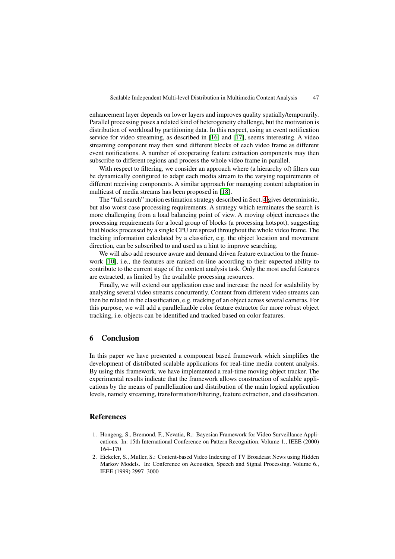<span id="page-10-0"></span>enhancement layer depends on lower layers and improves quality spatially/temporarily. Parallel processing poses a related kind of heterogeneity challenge, but the motivation is distribution of workload by partitioning data. In this respect, using an event notification service for video streaming, as described in [\[16\]](#page-11-0) and [\[17\]](#page-11-0), seems interesting. A video streaming component may then send different blocks of each video frame as different event notifications. A number of cooperating feature extraction components may then subscribe to different regions and process the whole video frame in parallel.

With respect to filtering, we consider an approach where (a hierarchy of) filters can be dynamically configured to adapt each media stream to the varying requirements of different receiving components. A similar approach for managing content adaptation in multicast of media streams has been proposed in [\[18\]](#page-11-0).

The "full search" motion estimation strategy described in Sect. [4](#page-8-0) gives deterministic, but also worst case processing requirements. A strategy which terminates the search is more challenging from a load balancing point of view. A moving object increases the processing requirements for a local group of blocks (a processing hotspot), suggesting that blocks processed by a single CPU are spread throughout the whole video frame. The tracking information calculated by a classifier, e.g. the object location and movement direction, can be subscribed to and used as a hint to improve searching.

We will also add resource aware and demand driven feature extraction to the framework [\[10\]](#page-11-0), i.e., the features are ranked on-line according to their expected ability to contribute to the current stage of the content analysis task. Only the most useful features are extracted, as limited by the available processing resources.

Finally, we will extend our application case and increase the need for scalability by analyzing several video streams concurrently. Content from different video streams can then be related in the classification, e.g. tracking of an object across several cameras. For this purpose, we will add a parallelizable color feature extractor for more robust object tracking, i.e. objects can be identified and tracked based on color features.

# **6 Conclusion**

In this paper we have presented a component based framework which simplifies the development of distributed scalable applications for real-time media content analysis. By using this framework, we have implemented a real-time moving object tracker. The experimental results indicate that the framework allows construction of scalable applications by the means of parallelization and distribution of the main logical application levels, namely streaming, transformation/filtering, feature extraction, and classification.

# **References**

- 1. Hongeng, S., Bremond, F., Nevatia, R.: Bayesian Framework for Video Surveillance Applications. In: 15th International Conference on Pattern Recognition. Volume 1., IEEE (2000) 164–170
- 2. Eickeler, S., Muller, S.: Content-based Video Indexing of TV Broadcast News using Hidden Markov Models. In: Conference on Acoustics, Speech and Signal Processing. Volume 6., IEEE (1999) 2997–3000